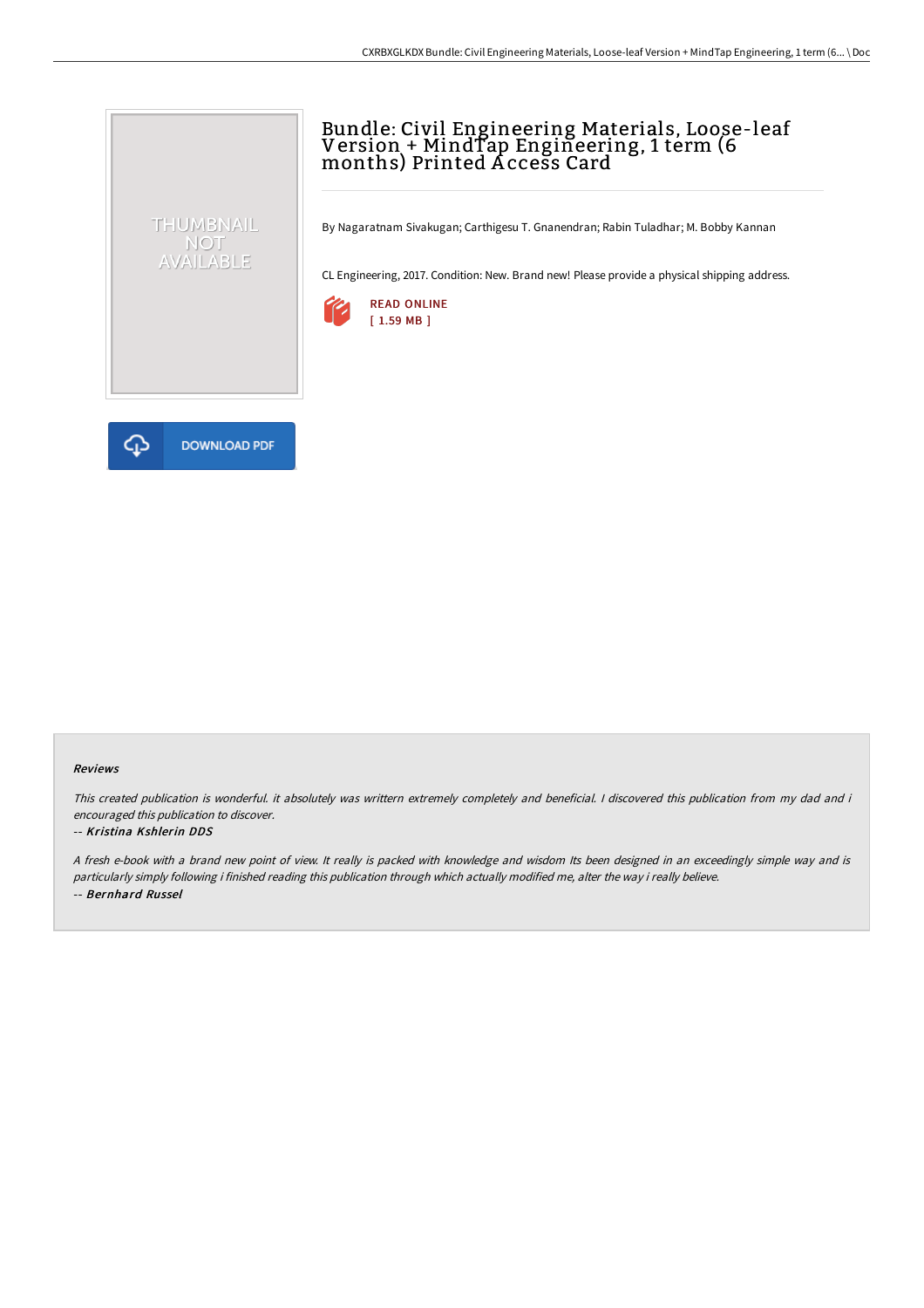## Bundle: Civil Engineering Materials, Loose-leaf Version + MindTap Engineering, 1 term (6 months) Printed A ccess Card

By Nagaratnam Sivakugan; Carthigesu T. Gnanendran; Rabin Tuladhar; M. Bobby Kannan

CL Engineering, 2017. Condition: New. Brand new! Please provide a physical shipping address.





THUMBNAIL NOT<br>AVAILABLE

## Reviews

This created publication is wonderful. it absolutely was writtern extremely completely and beneficial. I discovered this publication from my dad and i encouraged this publication to discover.

## -- Kristina Kshlerin DDS

<sup>A</sup> fresh e-book with <sup>a</sup> brand new point of view. It really is packed with knowledge and wisdom Its been designed in an exceedingly simple way and is particularly simply following i finished reading this publication through which actually modified me, alter the way i really believe. -- Bernhard Russel